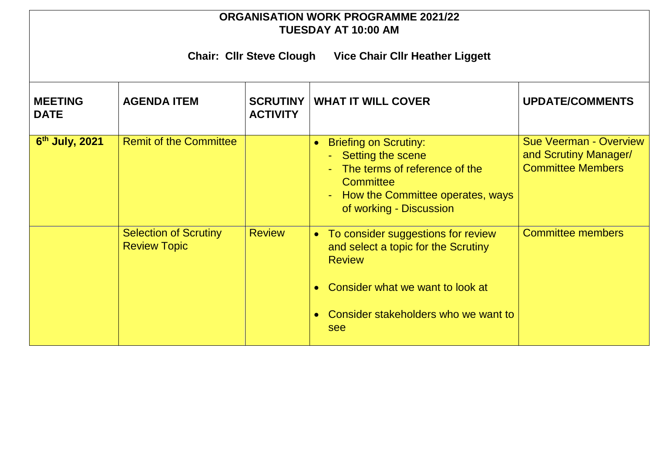## **ORGANISATION WORK PROGRAMME 2021/22 TUESDAY AT 10:00 AM**

**Chair: Cllr Steve Clough Vice Chair Cllr Heather Liggett**

| <b>MEETING</b><br><b>DATE</b> | <b>AGENDA ITEM</b>                                  | <b>ACTIVITY</b> | <b>SCRUTINY   WHAT IT WILL COVER</b>                                                                                                                                                       | <b>UPDATE/COMMENTS</b>                                                             |
|-------------------------------|-----------------------------------------------------|-----------------|--------------------------------------------------------------------------------------------------------------------------------------------------------------------------------------------|------------------------------------------------------------------------------------|
| 6 <sup>th</sup> July, 2021    | <b>Remit of the Committee</b>                       |                 | <b>Briefing on Scrutiny:</b><br>$\bullet$<br>- Setting the scene<br>- The terms of reference of the<br>Committee<br>How the Committee operates, ways<br>of working - Discussion            | <b>Sue Veerman - Overview</b><br>and Scrutiny Manager/<br><b>Committee Members</b> |
|                               | <b>Selection of Scrutiny</b><br><b>Review Topic</b> | <b>Review</b>   | To consider suggestions for review<br>$\bullet$<br>and select a topic for the Scrutiny<br><b>Review</b><br>Consider what we want to look at<br>Consider stakeholders who we want to<br>see | <b>Committee members</b>                                                           |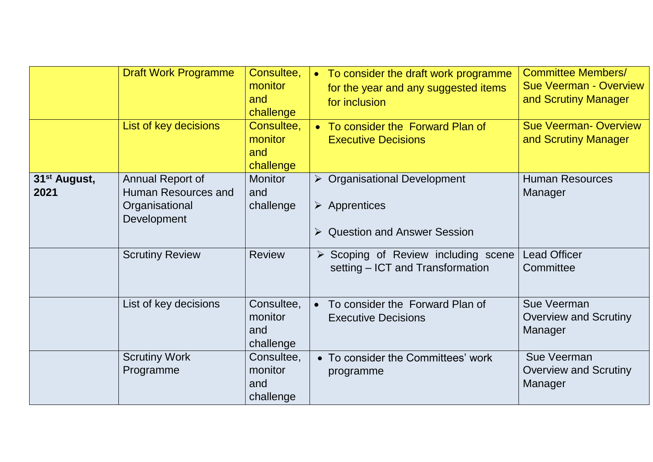|                                  | <b>Draft Work Programme</b>                                              | Consultee,<br>monitor<br>and<br>challenge | • To consider the draft work programme<br>for the year and any suggested items<br>for inclusion                             | <b>Committee Members/</b><br><b>Sue Veerman - Overview</b><br>and Scrutiny Manager |
|----------------------------------|--------------------------------------------------------------------------|-------------------------------------------|-----------------------------------------------------------------------------------------------------------------------------|------------------------------------------------------------------------------------|
|                                  | List of key decisions                                                    | Consultee,<br>monitor<br>and<br>challenge | • To consider the Forward Plan of<br><b>Executive Decisions</b>                                                             | <b>Sue Veerman-Overview</b><br>and Scrutiny Manager                                |
| 31 <sup>st</sup> August,<br>2021 | Annual Report of<br>Human Resources and<br>Organisational<br>Development | <b>Monitor</b><br>and<br>challenge        | $\triangleright$ Organisational Development<br>$\triangleright$ Apprentices<br>$\triangleright$ Question and Answer Session | <b>Human Resources</b><br>Manager                                                  |
|                                  | <b>Scrutiny Review</b>                                                   | <b>Review</b>                             | $\triangleright$ Scoping of Review including scene<br>setting – ICT and Transformation                                      | <b>Lead Officer</b><br>Committee                                                   |
|                                  | List of key decisions                                                    | Consultee,<br>monitor<br>and<br>challenge | To consider the Forward Plan of<br><b>Executive Decisions</b>                                                               | Sue Veerman<br><b>Overview and Scrutiny</b><br>Manager                             |
|                                  | <b>Scrutiny Work</b><br>Programme                                        | Consultee,<br>monitor<br>and<br>challenge | • To consider the Committees' work<br>programme                                                                             | Sue Veerman<br><b>Overview and Scrutiny</b><br>Manager                             |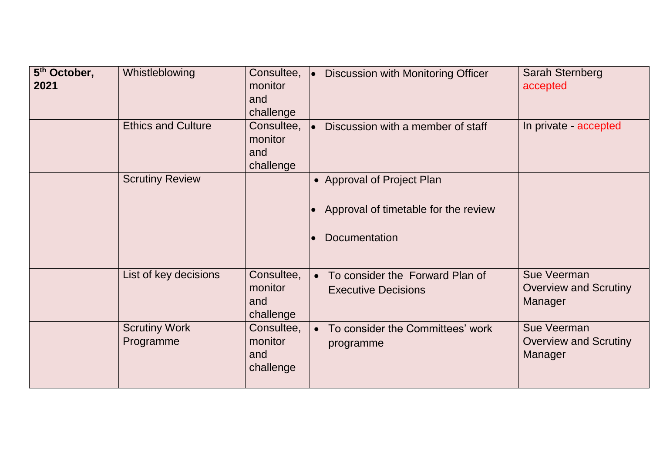| 5 <sup>th</sup> October,<br>2021 | Whistleblowing                    | Consultee,<br>monitor<br>and<br>challenge | <b>Discussion with Monitoring Officer</b><br>lo.                                           | <b>Sarah Sternberg</b><br>accepted                            |
|----------------------------------|-----------------------------------|-------------------------------------------|--------------------------------------------------------------------------------------------|---------------------------------------------------------------|
|                                  | <b>Ethics and Culture</b>         | Consultee,<br>monitor<br>and<br>challenge | Discussion with a member of staff                                                          | In private - accepted                                         |
|                                  | <b>Scrutiny Review</b>            |                                           | • Approval of Project Plan<br>Approval of timetable for the review<br><b>Documentation</b> |                                                               |
|                                  | List of key decisions             | Consultee,<br>monitor<br>and<br>challenge | To consider the Forward Plan of<br><b>Executive Decisions</b>                              | Sue Veerman<br><b>Overview and Scrutiny</b><br>Manager        |
|                                  | <b>Scrutiny Work</b><br>Programme | Consultee,<br>monitor<br>and<br>challenge | To consider the Committees' work<br>programme                                              | <b>Sue Veerman</b><br><b>Overview and Scrutiny</b><br>Manager |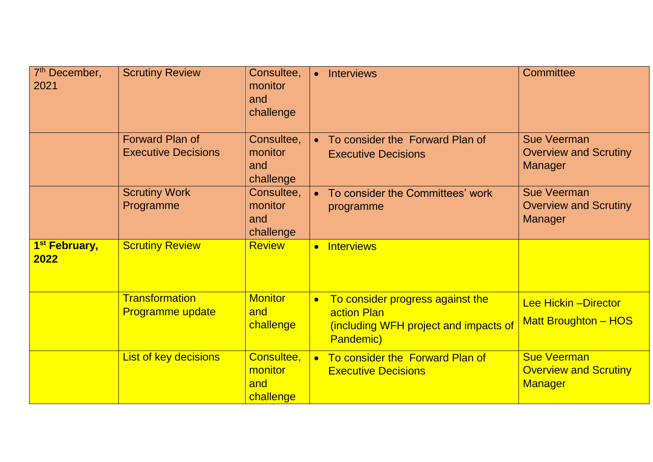| 7 <sup>th</sup> December,<br>2021 | <b>Scrutiny Review</b>                               | Consultee,<br>monitor<br>and<br>challenge | <b>Interviews</b><br>$\bullet$                                                                                            | <b>Committee</b>                                                     |
|-----------------------------------|------------------------------------------------------|-------------------------------------------|---------------------------------------------------------------------------------------------------------------------------|----------------------------------------------------------------------|
|                                   | <b>Forward Plan of</b><br><b>Executive Decisions</b> | Consultee,<br>monitor<br>and<br>challenge | To consider the Forward Plan of<br><b>Executive Decisions</b>                                                             | <b>Sue Veerman</b><br><b>Overview and Scrutiny</b><br>Manager        |
|                                   | <b>Scrutiny Work</b><br>Programme                    | Consultee,<br>monitor<br>and<br>challenge | To consider the Committees' work<br>programme                                                                             | <b>Sue Veerman</b><br><b>Overview and Scrutiny</b><br><b>Manager</b> |
| 1 <sup>st</sup> February,<br>2022 | <b>Scrutiny Review</b>                               | <b>Review</b>                             | <b>Interviews</b><br>$\bullet$                                                                                            |                                                                      |
|                                   | <b>Transformation</b><br><b>Programme update</b>     | <b>Monitor</b><br>and<br>challenge        | To consider progress against the<br>$\bullet$<br><b>action Plan</b><br>(including WFH project and impacts of<br>Pandemic) | <b>Lee Hickin - Director</b><br><b>Matt Broughton - HOS</b>          |
|                                   | List of key decisions                                | Consultee,<br>monitor<br>and<br>challenge | To consider the Forward Plan of<br>$\bullet$<br><b>Executive Decisions</b>                                                | <b>Sue Veerman</b><br><b>Overview and Scrutiny</b><br><b>Manager</b> |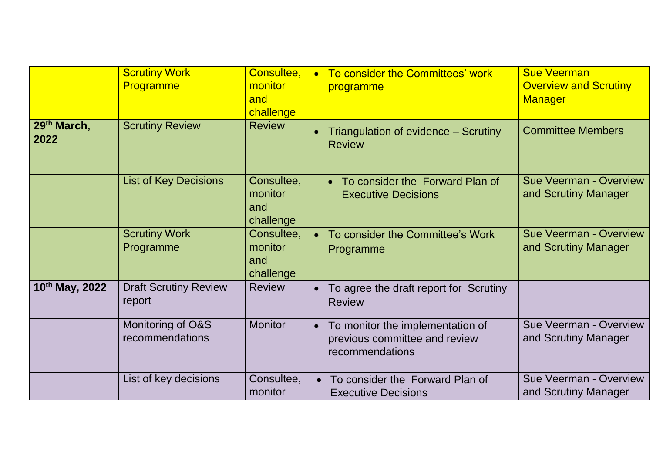|                                 | <b>Scrutiny Work</b><br>Programme      | Consultee,<br>monitor<br>and<br>challenge | To consider the Committees' work<br>programme                                                     | <b>Sue Veerman</b><br><b>Overview and Scrutiny</b><br><b>Manager</b> |
|---------------------------------|----------------------------------------|-------------------------------------------|---------------------------------------------------------------------------------------------------|----------------------------------------------------------------------|
| 29 <sup>th</sup> March,<br>2022 | <b>Scrutiny Review</b>                 | <b>Review</b>                             | Triangulation of evidence - Scrutiny<br><b>Review</b>                                             | <b>Committee Members</b>                                             |
|                                 | <b>List of Key Decisions</b>           | Consultee,<br>monitor<br>and<br>challenge | To consider the Forward Plan of<br><b>Executive Decisions</b>                                     | <b>Sue Veerman - Overview</b><br>and Scrutiny Manager                |
|                                 | <b>Scrutiny Work</b><br>Programme      | Consultee,<br>monitor<br>and<br>challenge | To consider the Committee's Work<br>Programme                                                     | <b>Sue Veerman - Overview</b><br>and Scrutiny Manager                |
| 10th May, 2022                  | <b>Draft Scrutiny Review</b><br>report | <b>Review</b>                             | To agree the draft report for Scrutiny<br><b>Review</b>                                           |                                                                      |
|                                 | Monitoring of O&S<br>recommendations   | <b>Monitor</b>                            | To monitor the implementation of<br>$\bullet$<br>previous committee and review<br>recommendations | Sue Veerman - Overview<br>and Scrutiny Manager                       |
|                                 | List of key decisions                  | Consultee,<br>monitor                     | To consider the Forward Plan of<br>$\bullet$<br><b>Executive Decisions</b>                        | <b>Sue Veerman - Overview</b><br>and Scrutiny Manager                |